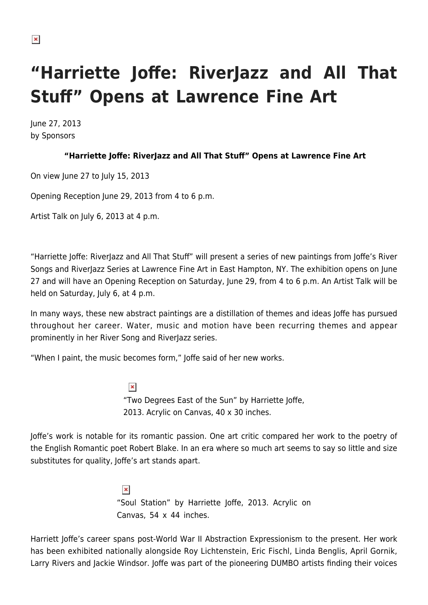## **"Harriette Joffe: RiverJazz and All That Stuff" Opens at Lawrence Fine Art**

June 27, 2013 by Sponsors

## **"Harriette Joffe: RiverJazz and All That Stuff" Opens at Lawrence Fine Art**

On view June 27 to July 15, 2013

Opening Reception June 29, 2013 from 4 to 6 p.m.

Artist Talk on July 6, 2013 at 4 p.m.

"Harriette Joffe: RiverJazz and All That Stuff" will present a series of new paintings from Joffe's River Songs and RiverJazz Series at Lawrence Fine Art in East Hampton, NY. The exhibition opens on June 27 and will have an Opening Reception on Saturday, June 29, from 4 to 6 p.m. An Artist Talk will be held on Saturday, July 6, at 4 p.m.

In many ways, these new abstract paintings are a distillation of themes and ideas Joffe has pursued throughout her career. Water, music and motion have been recurring themes and appear prominently in her River Song and RiverJazz series.

"When I paint, the music becomes form," Joffe said of her new works.

 $\pmb{\times}$ "Two Degrees East of the Sun" by Harriette Joffe, 2013. Acrylic on Canvas, 40 x 30 inches.

Joffe's work is notable for its romantic passion. One art critic compared her work to the poetry of the English Romantic poet Robert Blake. In an era where so much art seems to say so little and size substitutes for quality, Joffe's art stands apart.

> $\pmb{\times}$ "Soul Station" by Harriette Joffe, 2013. Acrylic on Canvas, 54 x 44 inches.

Harriett Joffe's career spans post-World War II Abstraction Expressionism to the present. Her work has been exhibited nationally alongside Roy Lichtenstein, Eric Fischl, Linda Benglis, April Gornik, Larry Rivers and Jackie Windsor. Joffe was part of the pioneering DUMBO artists finding their voices